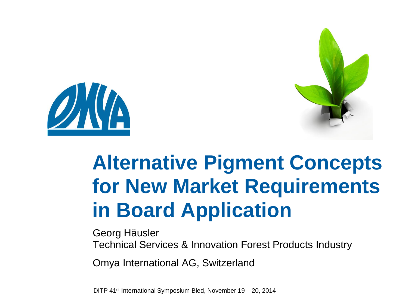



## **Alternative Pigment Concepts for New Market Requirements in Board Application**

Georg Häusler

Technical Services & Innovation Forest Products Industry

Omya International AG, Switzerland

DITP 41st International Symposium Bled, November 19 – 20, 2014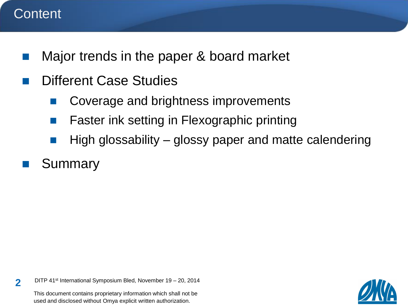### **Content**

- **Najor trends in the paper & board market**
- Different Case Studies
	- Coverage and brightness improvements
	- Faster ink setting in Flexographic printing
	- High glossability glossy paper and matte calendering
- Summary

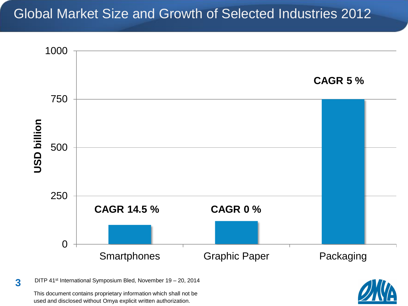### Global Market Size and Growth of Selected Industries 2012



DITP 41st International Symposium Bled, November 19 – 20, 2014 **3**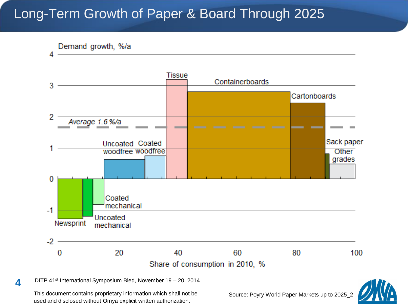### Long-Term Growth of Paper & Board Through 2025



DITP 41st International Symposium Bled, November 19 – 20, 2014 **4**

This document contains proprietary information which shall not be used and disclosed without Omya explicit written authorization.

Source: Poyry World Paper Markets up to 2025\_2

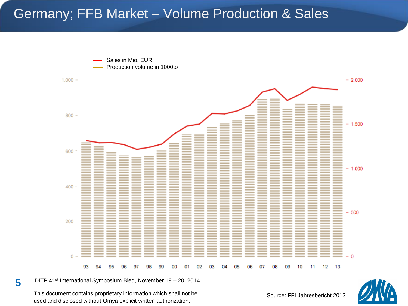### Germany; FFB Market – Volume Production & Sales



DITP 41st International Symposium Bled, November 19 – 20, 2014 **5**

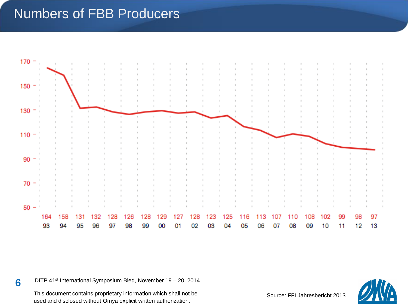### Numbers of FBB Producers



DITP 41st International Symposium Bled, November 19 – 20, 2014 **6**

This document contains proprietary information which shall not be used and disclosed without Omya explicit written authorization.

Source: FFI Jahresbericht 2013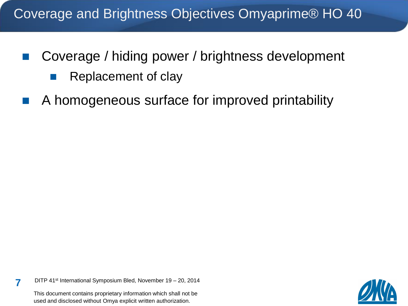### Coverage and Brightness Objectives Omyaprime® HO 40

- Coverage / hiding power / brightness development
	- **Replacement of clay**
- A homogeneous surface for improved printability

DITP 41st International Symposium Bled, November 19 – 20, 2014 **7**

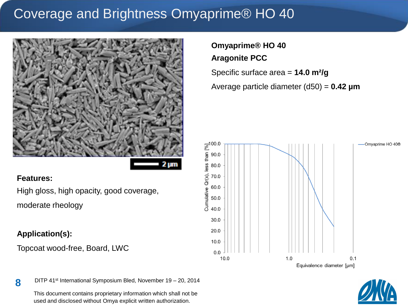### Coverage and Brightness Omyaprime® HO 40



#### **Features:**

High gloss, high opacity, good coverage, moderate rheology

#### **Application(s):**

Topcoat wood-free, Board, LWC

#### **Omyaprime® HO 40 Aragonite PCC**

Specific surface area = **14.0 m²/g**

Average particle diameter (d50) = **0.42 µm**





DITP 41st International Symposium Bled, November 19 – 20, 2014 **8**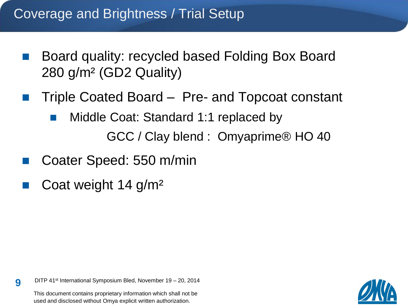### Coverage and Brightness / Trial Setup

- Board quality: recycled based Folding Box Board 280 g/m² (GD2 Quality)
- Triple Coated Board Pre- and Topcoat constant
	- **Middle Coat: Standard 1:1 replaced by** 
		- GCC / Clay blend : Omyaprime® HO 40
- Coater Speed: 550 m/min
- Coat weight 14 g/m²

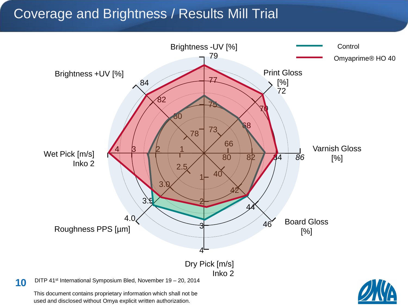### Coverage and Brightness / Results Mill Trial



used and disclosed without Omya explicit written authorization.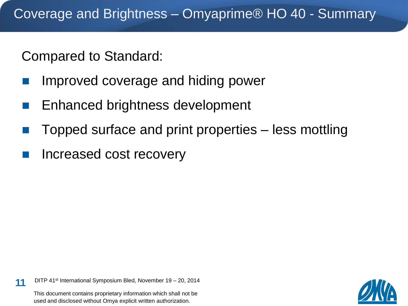Compared to Standard:

- Improved coverage and hiding power
- **Enhanced brightness development**
- Topped surface and print properties less mottling
- Increased cost recovery

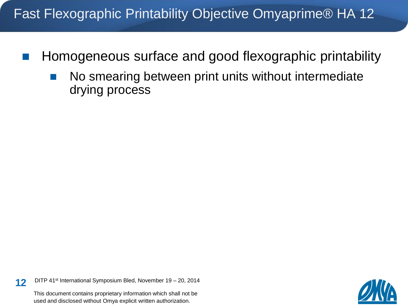### Fast Flexographic Printability Objective Omyaprime® HA 12

- **Homogeneous surface and good flexographic printability** 
	- **No smearing between print units without intermediate** drying process

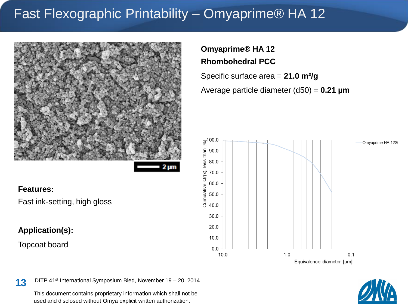### Fast Flexographic Printability – Omyaprime® HA 12



#### **Features:**

Fast ink-setting, high gloss

#### **Application(s):**

Topcoat board

### **Omyaprime® HA 12 Rhombohedral PCC**

Specific surface area = **21.0 m²/g**

Average particle diameter (d50) = **0.21 µm**





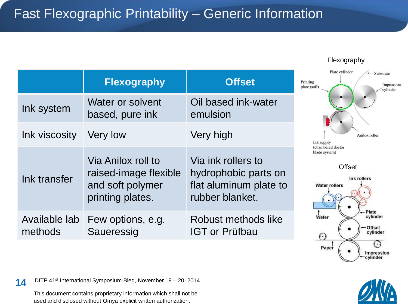|                          | <b>Flexography</b>                                                                  | <b>Offset</b>                                                                           | Pr<br>pla |
|--------------------------|-------------------------------------------------------------------------------------|-----------------------------------------------------------------------------------------|-----------|
| Ink system               | Water or solvent<br>based, pure ink                                                 | Oil based ink-water<br>emulsion                                                         |           |
| Ink viscosity            | Very low                                                                            | Very high                                                                               |           |
| Ink transfer             | Via Anilox roll to<br>raised-image flexible<br>and soft polymer<br>printing plates. | Via ink rollers to<br>hydrophobic parts on<br>flat aluminum plate to<br>rubber blanket. |           |
| Available lab<br>methods | Few options, e.g.<br>Saueressig                                                     | Robust methods like<br>IGT or Prüfbau                                                   |           |

Flexography



**Offset** 



14 DITP 41<sup>st</sup> International Symposium Bled, November 19 - 20, 2014

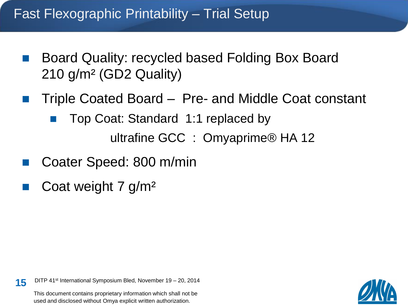### Fast Flexographic Printability – Trial Setup

- Board Quality: recycled based Folding Box Board 210 g/m² (GD2 Quality)
- Triple Coated Board Pre- and Middle Coat constant
	- Top Coat: Standard 1:1 replaced by ultrafine GCC : Omyaprime® HA 12
- Coater Speed: 800 m/min
- Coat weight 7 g/m²

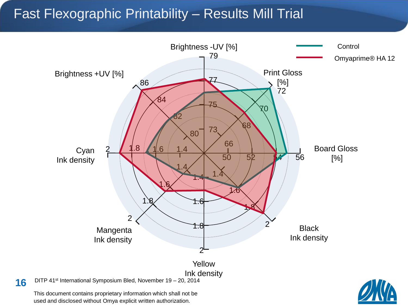### Fast Flexographic Printability – Results Mill Trial



used and disclosed without Omya explicit written authorization.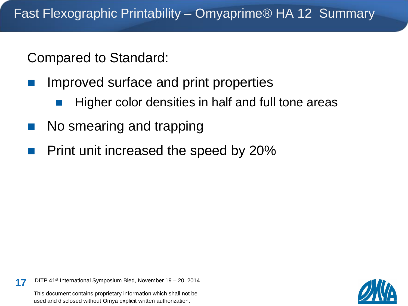Compared to Standard:

- Improved surface and print properties
	- Higher color densities in half and full tone areas
- No smearing and trapping
- Print unit increased the speed by 20%

17 DITP 41<sup>st</sup> International Symposium Bled, November 19 - 20, 2014

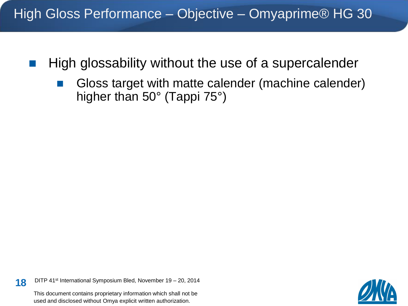- High glossability without the use of a supercalender
	- Gloss target with matte calender (machine calender) higher than 50° (Tappi 75°)

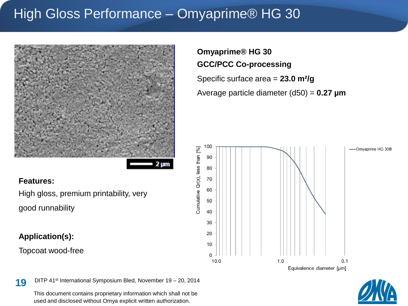### High Gloss Performance – Omyaprime® HG 30



#### **Features:**

High gloss, premium printability, very good runnability

#### **Application(s):**

Topcoat wood-free

#### **Omyaprime® HG 30 GCC/PCC Co-processing**

Specific surface area = **23.0 m²/g**

Average particle diameter (d50) = **0.27 µm**





19 DITP 41<sup>st</sup> International Symposium Bled, November 19 - 20, 2014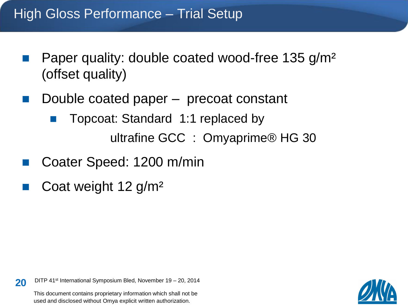### High Gloss Performance – Trial Setup

- **Paper quality: double coated wood-free 135 g/m<sup>2</sup>** (offset quality)
- Double coated paper precoat constant
	- Topcoat: Standard 1:1 replaced by ultrafine GCC : Omyaprime® HG 30
- Coater Speed: 1200 m/min
- Coat weight 12 g/m²

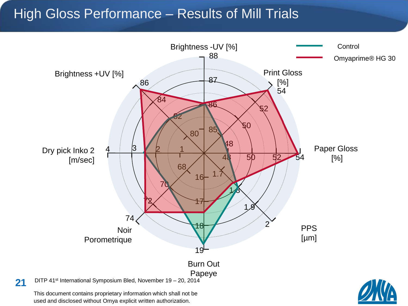### High Gloss Performance – Results of Mill Trials

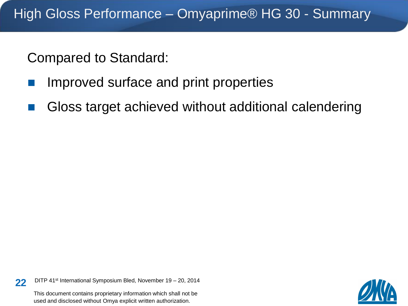Compared to Standard:

- Improved surface and print properties
- Gloss target achieved without additional calendering

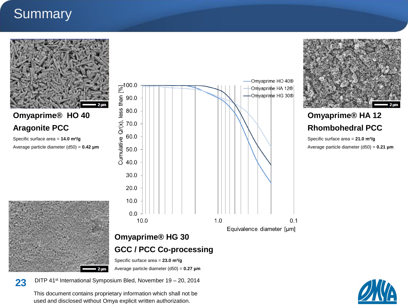### **Summary**



**Omyaprime® HO 40 Aragonite PCC**

Specific surface area = **14.0 m²/g**

Average particle diameter (d50) = **0.42 µm**







#### **Omyaprime® HA 12 Rhombohedral PCC**

Specific surface area = **21.0 m²/g** Average particle diameter (d50) = **0.21 µm**





23 DITP 41<sup>st</sup> International Symposium Bled, November 19 - 20, 2014